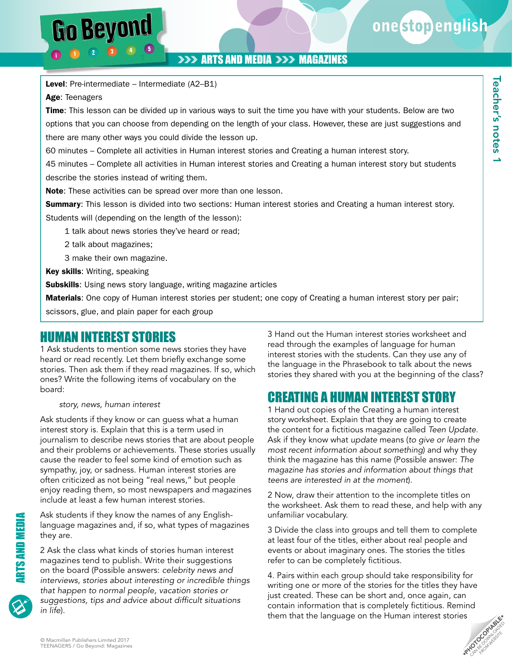Teacher's notes 1

**Feacher's notes 1** 

### **>>> ARTS AND MEDIA >>> MAGAZINES**

Level: Pre-intermediate – Intermediate (A2-B1)

Age: Teenagers

Go Beyond

Time: This lesson can be divided up in various ways to suit the time you have with your students. Below are two options that you can choose from depending on the length of your class. However, these are just suggestions and there are many other ways you could divide the lesson up.

60 minutes – Complete all activities in Human interest stories and Creating a human interest story.

45 minutes – Complete all activities in Human interest stories and Creating a human interest story but students describe the stories instead of writing them.

Note: These activities can be spread over more than one lesson.

**Summary:** This lesson is divided into two sections: Human interest stories and Creating a human interest story. Students will (depending on the length of the lesson):

1 talk about news stories they've heard or read;

- 2 talk about magazines;
- 3 make their own magazine.

Key skills: Writing, speaking

Subskills: Using news story language, writing magazine articles

Materials: One copy of Human interest stories per student; one copy of Creating a human interest story per pair;

scissors, glue, and plain paper for each group

## HUMAN INTEREST STORIES

1 Ask students to mention some news stories they have heard or read recently. Let them briefly exchange some stories. Then ask them if they read magazines. If so, which ones? Write the following items of vocabulary on the board:

#### *story, news, human interest*

Ask students if they know or can guess what a human interest story is. Explain that this is a term used in journalism to describe news stories that are about people and their problems or achievements. These stories usually cause the reader to feel some kind of emotion such as sympathy, joy, or sadness. Human interest stories are often criticized as not being "real news," but people enjoy reading them, so most newspapers and magazines include at least a few human interest stories.

Ask students if they know the names of any Englishlanguage magazines and, if so, what types of magazines they are.

2 Ask the class what kinds of stories human interest magazines tend to publish. Write their suggestions on the board (Possible answers: *celebrity news and interviews, stories about interesting or incredible things that happen to normal people, vacation stories or suggestions, tips and advice about difficult situations in life*).

3 Hand out the Human interest stories worksheet and read through the examples of language for human interest stories with the students. Can they use any of the language in the Phrasebook to talk about the news stories they shared with you at the beginning of the class?

# CREATING A HUMAN INTEREST STORY

1 Hand out copies of the Creating a human interest story worksheet. Explain that they are going to create the content for a fictitious magazine called *Teen Update*. Ask if they know what *update* means (*to give or learn the most recent information about something*) and why they think the magazine has this name (Possible answer: *The magazine has stories and information about things that teens are interested in at the moment*).

2 Now, draw their attention to the incomplete titles on the worksheet. Ask them to read these, and help with any unfamiliar vocabulary.

3 Divide the class into groups and tell them to complete at least four of the titles, either about real people and events or about imaginary ones. The stories the titles refer to can be completely fictitious.

4. Pairs within each group should take responsibility for writing one or more of the stories for the titles they have just created. These can be short and, once again, can contain information that is completely fictitious. Remind them that the language on the Human interest stories

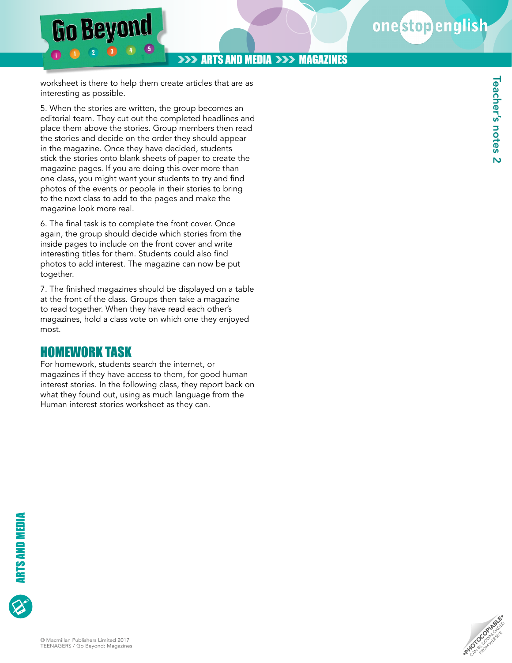#### **>>> ARTS AND MEDIA >>> MAGAZINES**

worksheet is there to help them create articles that are as interesting as possible.

**Go Beyond** 

5. When the stories are written, the group becomes an editorial team. They cut out the completed headlines and place them above the stories. Group members then read the stories and decide on the order they should appear in the magazine. Once they have decided, students stick the stories onto blank sheets of paper to create the magazine pages. If you are doing this over more than one class, you might want your students to try and find photos of the events or people in their stories to bring to the next class to add to the pages and make the magazine look more real.

6. The final task is to complete the front cover. Once again, the group should decide which stories from the inside pages to include on the front cover and write interesting titles for them. Students could also find photos to add interest. The magazine can now be put together.

7. The finished magazines should be displayed on a table at the front of the class. Groups then take a magazine to read together. When they have read each other's magazines, hold a class vote on which one they enjoyed most.

## HOMEWORK TASK

For homework, students search the internet, or magazines if they have access to them, for good human interest stories. In the following class, they report back on what they found out, using as much language from the Human interest stories worksheet as they can.

**RANDOLOGIABLE**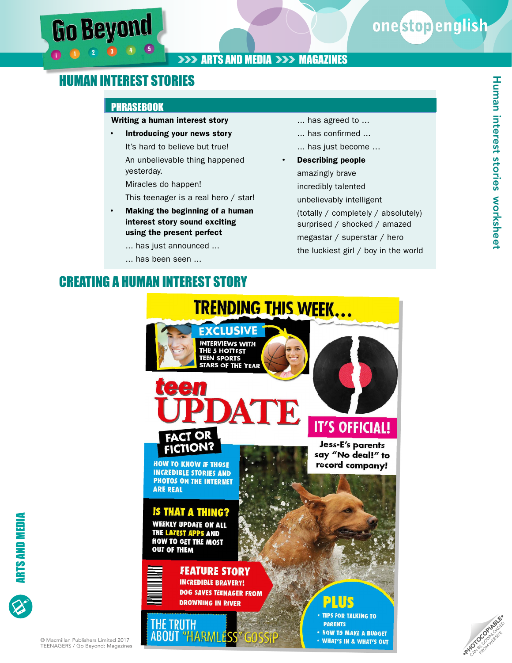# onestopenglish

Human interest stories

Human interest stories worksheet

worksheet

## **>>> ARTS AND MEDIA >>> MAGAZINES**

# HUMAN INTEREST STORIES

#### **PHRASEBOOK**

#### Writing a human interest story

• Introducing your news story It's hard to believe but true! An unbelievable thing happened yesterday.

Miracles do happen!

This teenager is a real hero / star!

- Making the beginning of a human interest story sound exciting using the present perfect
	- ... has just announced ...
	- ... has been seen ...

# CREATING A HUMAN INTEREST STORY

- ... has agreed to ...
- ... has confirmed ...
- ... has just become …
- Describing people amazingly brave incredibly talented unbelievably intelligent (totally / completely / absolutely) surprised / shocked / amazed megastar / superstar / hero the luckiest girl / boy in the world

• WHAT'S IN & WHAT'S OUT





#### © Macmillan Publishers Limited 2017 TEENAGERS / Go Beyond: Magazines